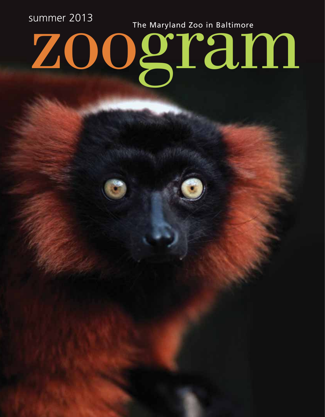zoogram summer 2013 The Maryland Zoo in Baltimore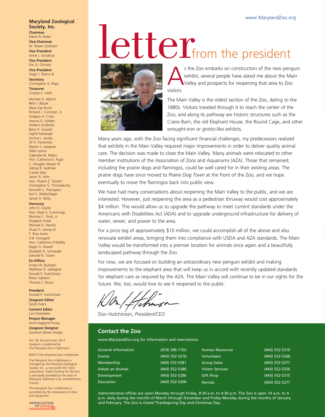### **Maryland Zoological Society, Inc. Chairman** Edwin R. Brake

**Vice-Chairman** W. Robert Zinkham

**Vice President** Anne L. Donahue

**Vice President** Eric G. Orlinsky **Vice President**

Hugo J. Warns III **Secretary** Christopher A. Pope

**Treasurer** Charles E. Vieth

Michael H. Aldrich Beth I. Blauer Mary Kay Burch Richard J. Corcoran, Jr. Gregory A. Cross Joanna D. Golden Herbert Goldman Barry P. Gossett Ingrid Harbaugh Donna L. Jacobs Jill H. Kamenetz Martin S. Lampner Allan Levine Gabrielle M. Melka Hon. Catherine E. Pugh C. Douglas Sawyer III Sidney B. Seidman Carole Sibel Jason St. John Hon. Shawn Z. Tarrant Christopher G. Thomaskutty Kenneth L. Thompson Earl S. Wellschlager James D. Witty

### **Honorary**

John H. Claster Hon. Elijah E. Cummings Norman C. Frost, Jr. Elizabeth Grieb Michael D. Hankin Stuart S. Janney III F. Ross Jones A.B. Krongard Hon. Catherine O'Malley Roger G. Powell Elizabeth K. Schroeder Edward N. Tucker

## **Ex-Officio**

Ernest W. Burkeen Matthew D. Gallagher Donald P. Hutchinson Robin Sabatini Thomas J. Stosur

### **President**

Donald P. Hutchinson **Zoogram Editor** Sarah Evans **Content Editor**

Lori Finkelstein **Project Manager**

Anne Ragland Finney **Zoogram Designer** Suzanne Glover Design

Vol. 38, #2,Summmer 2013 Zoogram is published by The Maryland Zoo in Baltimore.

©2013 The Maryland Zoo in Baltimore The Maryland Zoo in Baltimore is

managed by the Maryland Zoological Society, Inc., a non-profit 501 (c)(3)<br>corporation. Public funding for the Zoo is principally provided by the state of Maryland, Baltimore City, and Baltimore County.

The Maryland Zoo in Baltimore is accredited by the Association of Zoos and Aquariums.

ASSOCIATION<br>OF ZOOS

# **letter of the president**



s the Zoo embarks on construction of the new penguin exhibit, several people have asked me about the Main Valley and prospects for reopening that area to Zoo exhibit, several people have asked me about the Main Valley and prospects for reopening that area to Zoo visitors.

The Main Valley is the oldest section of the Zoo, dating to the 1880s. Visitors traveled through it to reach the center of the Zoo, and along its pathway are historic structures such as the Crane Barn, the old Elephant House, the Round Cage, and other wrought-iron or grotto-like exhibits.

Many years ago, with the Zoo facing significant financial challenges, my predecessors realized that exhibits in the Main Valley required major improvements in order to deliver quality animal care. The decision was made to close the Main Valley. Many animals were relocated to other member institutions of the Association of Zoos and Aquariums (AZA). Those that remained, including the prairie dogs and flamingos, could be well cared for in their existing areas. The prairie dogs have since moved to *Prairie Dog Town* at the front of the Zoo, and we hope eventually to move the flamingos back into public view.

We have had many conversations about reopening the Main Valley to the public, and we are interested. However, just reopening the area as a pedestrian thruway would cost approximately \$4 million. This would allow us to upgrade the pathway to meet current standards under the Americans with Disabilities Act (ADA) and to upgrade underground infrastructure for delivery of water, sewer, and power to the area.

For a price tag of approximately \$10 million, we could accomplish all of the above and also renovate exhibit areas, bringing them into compliance with USDA and AZA standards. The Main Valley would be transformed into a premier location for animals once again and a beautifully landscaped pathway through the Zoo.

For now, we are focused on building an extraordinary new penguin exhibit and making improvements to the elephant area that will keep us in accord with recently updated standards for elephant care as required by the AZA. The Main Valley will continue to be in our sights for the future. We, too, would love to see it reopened to the public.

cm

Don Hutchinson, *President/CEO* 

# **Contact the Zoo**

www.MarylandZoo.org for information and reservations

| <b>General Information</b> | (410) 396-7102 | <b>Human Resources</b>  | (443) 552-5310 |
|----------------------------|----------------|-------------------------|----------------|
| Events                     | (443) 552-5276 | <b>Volunteers</b>       | (443) 552-5266 |
| Membership                 | (443) 552-5281 | <b>Group Sales</b>      | (443) 552-5277 |
| Adopt an Animal            | (443) 552-5280 | <b>Visitor Services</b> | (443) 552-5256 |
| Development                | (443) 552-5290 | <b>Gift Shop</b>        | (443) 552-5315 |
| Education                  | (443) 552-5300 | <b>Rentals</b>          | (443) 552-5277 |

Administrative offices are open Monday through Friday, 8:30 a.m. to 4:30 p.m. The Zoo is open 10 a.m. to 4 p.m. daily during the months of March through December and Friday-Monday during the months of January and February. The Zoo is closed Thanksgiving Day and Christmas Day.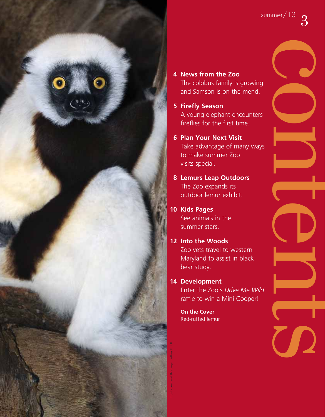

- **4 News from the Zoo** The colobus family is growing and Samson is on the mend.
- **5 Firefly Season**  A young elephant encounters fireflies for the first time.
- **6 Plan Your Next Visit** Take advantage of many ways to make summer Zoo visits special.
- **8 Lemurs Leap Outdoors** The Zoo expands its outdoor lemur exhibit.
- **10 Kids Pages** See animals in the summer stars.
- **12 Into the Woods** Zoo vets travel to western Maryland to assist in black bear study.
- **14 Development**

 Enter the Zoo's *Drive Me Wild* raffle to win a Mini Cooper!

 **On the Cover** Red-ruffed lemur

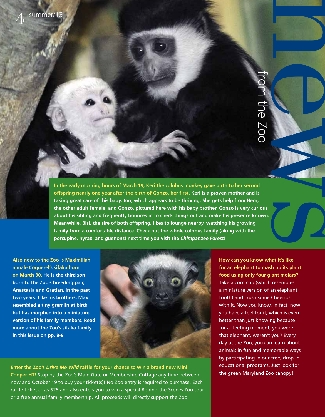news and the second the second term from the Zoo 116 Z00

**In the early morning hours of March 19, Keri the colobus monkey gave birth to her second**  offspring nearly one year after the birth of Gonzo, her first. Keri is a proven mother and is **taking great care of this baby, too, which appears to be thriving. She gets help from Hera, the other adult female, and Gonzo, pictured here with his baby brother. Gonzo is very curious about his sibling and frequently bounces in to check things out and make his presence known. Meanwhile, Bisi, the sire of both offspring, likes to lounge nearby, watching his growing family from a comfortable distance. Check out the whole colobus family (along with the porcupine, hyrax, and guenons) next time you visit the** *Chimpanzee Forest***!**

**Also new to the Zoo is Maximilian, a male Coquerel's sifaka born on March 30. He is the third son born to the Zoo's breeding pair, Anastasia and Gratian, in the past two years. Like his brothers, Max resembled a tiny gremlin at birth but has morphed into a miniature version of his family members. Read more about the Zoo's sifaka family in this issue on pp. 8-9.**



Enter the Zoo's *Drive Me Wild raffle for your chance to win a brand new Mini* **Cooper HT!** Stop by the Zoo's Main Gate or Membership Cottage any time between now and October 19 to buy your ticket(s)! No Zoo entry is required to purchase. Each raffle ticket costs \$25 and also enters you to win a special Behind-the-Scenes Zoo tour or a free annual family membership. All proceeds will directly support the Zoo.

**How can you know what it's like for an elephant to mash up its plant food using only four giant molars?**  Take a corn cob (which resembles a miniature version of an elephant tooth) and crush some Cheerios with it. Now you know. In fact, now you have a feel for it, which is even better than just knowing because for a fleeting moment, you were that elephant, weren't you? Every day at the Zoo, you can learn about animals in fun and memorable ways by participating in our free, drop-in educational programs. Just look for the green Maryland Zoo canopy!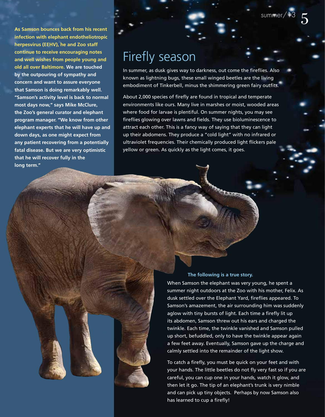5

**As Samson bounces back from his recent infection with elephant endotheliotropic herpesvirus (EEHV), he and Zoo staff continue to receive encouraging notes and well wishes from people young and old all over Baltimore. We are touched by the outpouring of sympathy and concern and want to assure everyone that Samson is doing remarkably well. "Samson's activity level is back to normal most days now," says Mike McClure, the Zoo's general curator and elephant program manager. "We know from other elephant experts that he will have up and down days, as one might expect from any patient recovering from a potentially fatal disease. But we are very optimistic that he will recover fully in the long term."**

# Firefly season

In summer, as dusk gives way to darkness, out come the fireflies. Also known as lightning bugs, these small winged beetles are the living embodiment of Tinkerbell, minus the shimmering green fairy outfits.

About 2,000 species of firefly are found in tropical and temperate environments like ours. Many live in marshes or moist, wooded areas where food for larvae is plentiful. On summer nights, you may see fireflies glowing over lawns and fields. They use bioluminescence to attract each other. This is a fancy way of saying that they can light up their abdomens. They produce a "cold light" with no infrared or ultraviolet frequencies. Their chemically produced light flickers pale yellow or green. As quickly as the light comes, it goes.

# **The following is a true story.**

When Samson the elephant was very young, he spent a summer night outdoors at the Zoo with his mother, Felix. As dusk settled over the Elephant Yard, fireflies appeared. To Samson's amazement, the air surrounding him was suddenly aglow with tiny bursts of light. Each time a firefly lit up its abdomen, Samson threw out his ears and charged the twinkle. Each time, the twinkle vanished and Samson pulled up short, befuddled, only to have the twinkle appear again a few feet away. Eventually, Samson gave up the charge and calmly settled into the remainder of the light show.

To catch a firefly, you must be quick on your feet and with your hands. The little beetles do not fly very fast so if you are careful, you can cup one in your hands, watch it glow, and then let it go. The tip of an elephant's trunk is very nimble and can pick up tiny objects. Perhaps by now Samson also has learned to cup a firefly!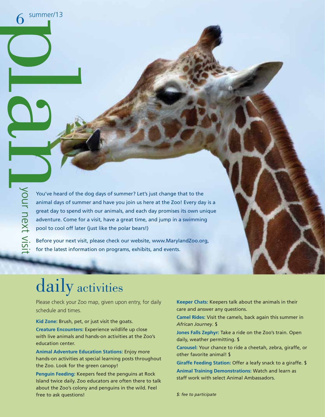$\frac{6}{2}$  summe

summer/13

Vou've heard of the<br>
Sou've heard of the<br>
animal days of sum<br>
great day to spend<br>
adventure. Come for<br>
pool to cool off late<br>
for the latest inform You've heard of the dog days of summer? Let's just change that to the animal days of summer and have you join us here at the Zoo! Every day is a great day to spend with our animals, and each day promises its own unique adventure. Come for a visit, have a great time, and jump in a swimming pool to cool off later (just like the polar bears!)

Before your next visit, please check our website, www.MarylandZoo.org, for the latest information on programs, exhibits, and events.

# daily activities

Please check your Zoo map, given upon entry, for daily schedule and times.

**Kid Zone:** Brush, pet, or just visit the goats.

**Creature Encounters:** Experience wildlife up close with live animals and hands-on activities at the Zoo's education center.

**Animal Adventure Education Stations:** Enjoy more hands-on activities at special learning posts throughout the Zoo. Look for the green canopy!

**Penguin Feeding:** Keepers feed the penguins at Rock Island twice daily. Zoo educators are often there to talk about the Zoo's colony and penguins in the wild. Feel free to ask questions!

**Keeper Chats:** Keepers talk about the animals in their care and answer any questions.

**Camel Rides:** Visit the camels, back again this summer in *African Journey*. \$

**Jones Falls Zephyr:** Take a ride on the Zoo's train. Open daily, weather permitting. \$

**Carousel:** Your chance to ride a cheetah, zebra, giraffe, or other favorite animal! \$

**Giraffe Feeding Station:** Offer a leafy snack to a giraffe. \$ **Animal Training Demonstrations:** Watch and learn as staff work with select Animal Ambassadors.

*\$: fee to participate*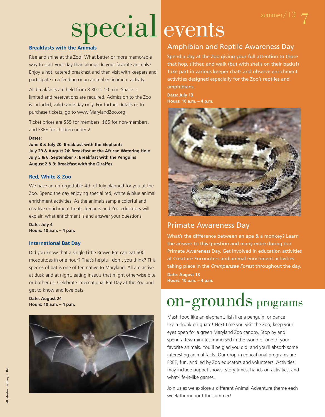# special events

# **Breakfasts with the Animals**

Rise and shine at the Zoo! What better or more memorable way to start your day than alongside your favorite animals? Enjoy a hot, catered breakfast and then visit with keepers and participate in a feeding or an animal enrichment activity.

All breakfasts are held from 8:30 to 10 a.m. Space is limited and reservations are required. Admission to the Zoo is included, valid same day only. For further details or to purchase tickets, go to www.MarylandZoo.org.

Ticket prices are \$55 for members, \$65 for non-members, and FREE for children under 2.

# **Dates:**

**June 8 & July 20: Breakfast with the Elephants July 29 & August 24: Breakfast at the African Watering Hole July 5 & 6, September 7: Breakfast with the Penguins August 2 & 3: Breakfast with the Giraffes**

# **Red, White & Zoo**

We have an unforgettable 4th of July planned for you at the Zoo. Spend the day enjoying special red, white & blue animal enrichment activities. As the animals sample colorful and creative enrichment treats, keepers and Zoo educators will explain what enrichment is and answer your questions.

**Date: July 4 Hours: 10 a.m. – 4 p.m.**

# **International Bat Day**

Did you know that a single Little Brown Bat can eat 600 mosquitoes in one hour? That's helpful, don't you think? This species of bat is one of ten native to Maryland. All are active at dusk and at night, eating insects that might otherwise bite or bother us. Celebrate International Bat Day at the Zoo and get to know and love bats.

**Date: August 24 Hours: 10 a.m. – 4 p.m.**



# Amphibian and Reptile Awareness Day

Spend a day at the Zoo giving your full attention to those that hop, slither, and walk (but with shells on their backs!) Take part in various keeper chats and observe enrichment activities designed especially for the Zoo's reptiles and amphibians.

**Date: July 13 Hours: 10 a.m. – 4 p.m.**



# Primate Awareness Day

What's the difference between an ape & a monkey? Learn the answer to this question and many more during our Primate Awareness Day. Get involved in education activities at Creature Encounters and animal enrichment activities taking place in the *Chimpanzee Forest* throughout the day. **Date: August 18 Hours: 10 a.m. – 4 p.m.**

# on-grounds programs

Mash food like an elephant, fish like a penguin, or dance like a skunk on guard! Next time you visit the Zoo, keep your eyes open for a green Maryland Zoo canopy. Stop by and spend a few minutes immersed in the world of one of your favorite animals. You'll be glad you did, and you'll absorb some interesting animal facts. Our drop-in educational programs are FREE, fun, and led by Zoo educators and volunteers. Activities may include puppet shows, story times, hands-on activities, and what-life-is-like games.

Join us as we explore a different Animal Adventure theme each week throughout the summer!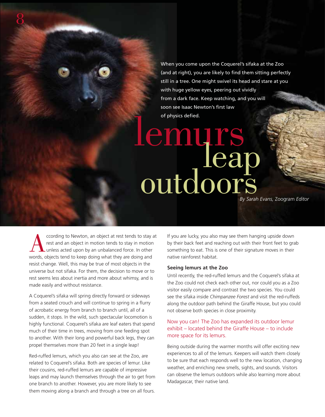When you come upon the Coquerel's sifaka at the Zoo (and at right), you are likely to find them sitting perfectly still in a tree. One might swivel its head and stare at you with huge yellow eyes, peering out vividly from a dark face. Keep watching, and you will soon see Isaac Newton's first law of physics defied.

# lemurs<br>deap<br>outdoors

*By Sarah Evans,* Zoogram *Editor*

ccording to Newton, an object at rest tends to stay at<br>rest and an object in motion tends to stay in motion<br>unless acted upon by an unbalanced force. In other<br>words, objects tend to keep doing what they are doing and rest and an object in motion tends to stay in motion unless acted upon by an unbalanced force. In other words, objects tend to keep doing what they are doing and resist change. Well, this may be true of most objects in the universe but not sifaka. For them, the decision to move or to rest seems less about inertia and more about whimsy, and is made easily and without resistance.

8

A Coquerel's sifaka will spring directly forward or sideways from a seated crouch and will continue to spring in a flurry of acrobatic energy from branch to branch until, all of a sudden, it stops. In the wild, such spectacular locomotion is highly functional. Coquerel's sifaka are leaf eaters that spend much of their time in trees, moving from one feeding spot to another. With their long and powerful back legs, they can propel themselves more than 20 feet in a single leap!

Red-ruffed lemurs, which you also can see at the Zoo, are related to Coquerel's sifaka. Both are species of lemur. Like their cousins, red-ruffed lemurs are capable of impressive leaps and may launch themselves through the air to get from one branch to another. However, you are more likely to see them moving along a branch and through a tree on all fours.

If you are lucky, you also may see them hanging upside down by their back feet and reaching out with their front feet to grab something to eat. This is one of their signature moves in their native rainforest habitat.

## **Seeing lemurs at the Zoo**

Until recently, the red-ruffed lemurs and the Coquerel's sifaka at the Zoo could not check each other out, nor could you as a Zoo visitor easily compare and contrast the two species. You could see the sifaka inside *Chimpanzee Forest* and visit the red-ruffeds along the outdoor path behind the Giraffe House, but you could not observe both species in close proximity.

# Now you can! The Zoo has expanded its outdoor lemur exhibit – located behind the Giraffe House – to include more space for its lemurs.

Being outside during the warmer months will offer exciting new experiences to all of the lemurs. Keepers will watch them closely to be sure that each responds well to the new location, changing weather, and enriching new smells, sights, and sounds. Visitors can observe the lemurs outdoors while also learning more about Madagascar, their native land.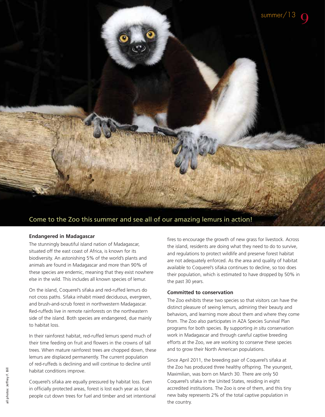

# Come to the Zoo this summer and see all of our amazing lemurs in action!

# **Endangered in Madagascar**

The stunningly beautiful island nation of Madagascar, situated off the east coast of Africa, is known for its biodiversity. An astonishing 5% of the world's plants and animals are found in Madagascar and more than 90% of these species are endemic, meaning that they exist nowhere else in the wild. This includes all known species of lemur.

On the island, Coquerel's sifaka and red-ruffed lemurs do not cross paths. Sifaka inhabit mixed deciduous, evergreen, and brush-and-scrub forest in northwestern Madagascar. Red-ruffeds live in remote rainforests on the northeastern side of the island. Both species are endangered, due mainly to habitat loss.

In their rainforest habitat, red-ruffed lemurs spend much of their time feeding on fruit and flowers in the crowns of tall trees. When mature rainforest trees are chopped down, these lemurs are displaced permanently. The current population of red-ruffeds is declining and will continue to decline until habitat conditions improve.

Coquerel's sifaka are equally pressured by habitat loss. Even in officially protected areas, forest is lost each year as local people cut down trees for fuel and timber and set intentional fires to encourage the growth of new grass for livestock. Across the island, residents are doing what they need to do to survive, and regulations to protect wildlife and preserve forest habitat are not adequately enforced. As the area and quality of habitat available to Coquerel's sifaka continues to decline, so too does their population, which is estimated to have dropped by 50% in the past 30 years.

# **Committed to conservation**

The Zoo exhibits these two species so that visitors can have the distinct pleasure of seeing lemurs, admiring their beauty and behaviors, and learning more about them and where they come from. The Zoo also participates in AZA Species Survival Plan programs for both species. By supporting *in situ* conservation work in Madagascar and through careful captive breeding efforts at the Zoo, we are working to conserve these species and to grow their North American populations.

Since April 2011, the breeding pair of Coquerel's sifaka at the Zoo has produced three healthy offspring. The youngest, Maximilian, was born on March 30. There are only 50 Coquerel's sifaka in the United States, residing in eight accredited institutions. The Zoo is one of them, and this tiny new baby represents 2% of the total captive population in the country.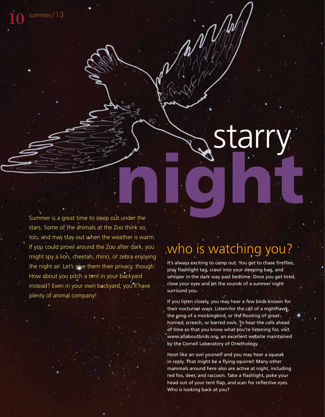

Summer is a great time to sleep out under the stars. Some of the animals at the Zoo think so, too, and may stay out when the weather is warm. If you could prowl around the Zoo after dark, you might spy a lion, cheetah, rhino, or zebra enjoying the night air. Let's give them their privacy, though. How about you pitch a tent in your backyard instead? Even in your own backyard, you'll have plenty of animal company!

summer/13

# who is watching you?

It's always exciting to camp out. You get to chase fireflies, play flashlight tag, crawl into your sleeping bag, and whisper in the dark way past bedtime. Once you get tired, close your eyes and let the sounds of a summer night surround you.

If you listen closely, you may hear a few birds known for their nocturnal ways. Listen for the call of a nighthawk, the song of a mockingbird, or the hooting of greathorned, screech, or barred owls. To hear the calls ahead of time so that you know what you're listening for, visit www.allaboutbirds.org, an excellent website maintained by the Cornell Laboratory of Ornithology.

Hoot like an owl yourself and you may hear a squeak in reply. That might be a flying squirrel! Many other mammals around here also are active at night, including red fox, deer, and raccoon. Take a flashlight, poke your head out of your tent flap, and scan for reflective eyes. Who is looking back at you?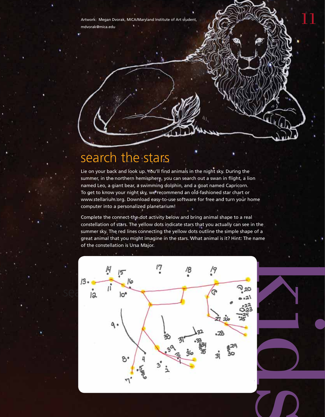Artwork: Megan Dvorak, MICA/Maryland Institute of Art student, mdvorak@mica.edu

# search the stars

Lie on your back and look up. You'll find animals in the night sky. During the summer, in the northern hemisphere, you can search out a swan in flight, a lion named Leo, a giant bear, a swimming dolphin, and a goat named Capricorn. To get to know your night sky, we recommend an old-fashioned star chart or www.stellarium.org. Download easy-to-use software for free and turn your home computer into a personalized planetarium!

Complete the connect-the-dot activity below and bring animal shape to a real constellation of stars. The yellow dots indicate stars that you actually can see in the summer sky. The red lines connecting the yellow dots outline the simple shape of a great animal that you might imagine in the stars. What animal is it? Hint: The name of the constellation is Ursa Major.





11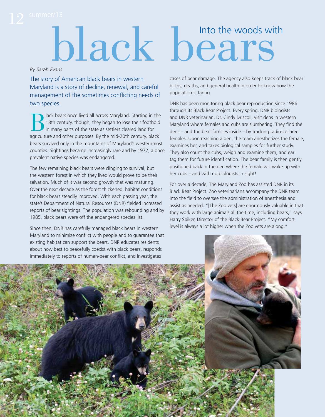# *By Sarah Evans*

The story of American black bears in western Maryland is a story of decline, renewal, and careful management of the sometimes conflicting needs of two species.

Black bears once lived all across Maryland. Starting in the 18th century, though, they began to lose their foothold in many parts of the state as settlers cleared land for agriculture and other nurnoses. By the mid-20th ce 18th century, though, they began to lose their foothold in many parts of the state as settlers cleared land for agriculture and other purposes. By the mid-20th century, black bears survived only in the mountains of Maryland's westernmost counties. Sightings became increasingly rare and by 1972, a once prevalent native species was endangered.

The few remaining black bears were clinging to survival, but the western forest in which they lived would prove to be their salvation. Much of it was second growth that was maturing. Over the next decade as the forest thickened, habitat conditions for black bears steadily improved. With each passing year, the state's Department of Natural Resources (DNR) fielded increased reports of bear sightings. The population was rebounding and by 1985, black bears were off the endangered species list.

Since then, DNR has carefully managed black bears in western Maryland to minimize conflict with people and to guarantee that existing habitat can support the bears. DNR educates residents about how best to peacefully coexist with black bears, responds

# black bears

cases of bear damage. The agency also keeps track of black bear births, deaths, and general health in order to know how the population is faring.

DNR has been monitoring black bear reproduction since 1986 through its Black Bear Project. Every spring, DNR biologists and DNR veterinarian, Dr. Cindy Driscoll, visit dens in western Maryland where females and cubs are slumbering. They find the dens – and the bear families inside – by tracking radio-collared females. Upon reaching a den, the team anesthetizes the female, examines her, and takes biological samples for further study. They also count the cubs, weigh and examine them, and ear tag them for future identification. The bear family is then gently positioned back in the den where the female will wake up with her cubs – and with no biologists in sight!

For over a decade, The Maryland Zoo has assisted DNR in its Black Bear Project. Zoo veterinarians accompany the DNR team into the field to oversee the administration of anesthesia and assist as needed. "[The Zoo vets] are enormously valuable in that they work with large animals all the time, including bears," says Harry Spiker, Director of the Black Bear Project. "My comfort level is always a lot higher when the Zoo vets are along."

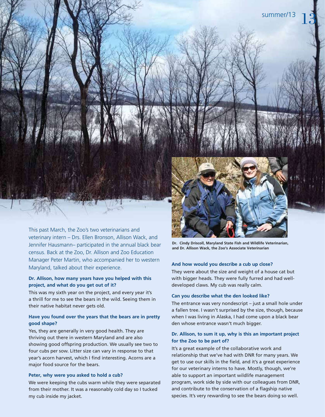

This past March, the Zoo's two veterinarians and veterinary intern – Drs. Ellen Bronson, Allison Wack, and Jennifer Hausmann– participated in the annual black bear census. Back at the Zoo, Dr. Allison and Zoo Education Manager Peter Martin, who accompanied her to western Maryland, talked about their experience.

# **Dr. Allison, how many years have you helped with this project, and what do you get out of it?**

This was my sixth year on the project, and every year it's a thrill for me to see the bears in the wild. Seeing them in their native habitat never gets old.

# **Have you found over the years that the bears are in pretty good shape?**

Yes, they are generally in very good health. They are thriving out there in western Maryland and are also showing good offspring production. We usually see two to four cubs per sow. Litter size can vary in response to that year's acorn harvest, which I find interesting. Acorns are a major food source for the bears.

# **Peter, why were you asked to hold a cub?**

We were keeping the cubs warm while they were separated from their mother. It was a reasonably cold day so I tucked my cub inside my jacket.

**Dr. Cindy Driscoll, Maryland State Fish and Wildlife Veterinarian, and Dr. Allison Wack, the Zoo's Associate Veterinarian**

# **And how would you describe a cub up close?**

They were about the size and weight of a house cat but with bigger heads. They were fully furred and had welldeveloped claws. My cub was really calm.

# **Can you describe what the den looked like?**

The entrance was very nondescript – just a small hole under a fallen tree. I wasn't surprised by the size, though, because when I was living in Alaska, I had come upon a black bear den whose entrance wasn't much bigger.

# **Dr. Allison, to sum it up, why is this an important project for the Zoo to be part of?**

It's a great example of the collaborative work and relationship that we've had with DNR for many years. We get to use our skills in the field, and it's a great experience for our veterinary interns to have. Mostly, though, we're able to support an important wildlife management program, work side by side with our colleagues from DNR, and contribute to the conservation of a flagship native species. It's very rewarding to see the bears doing so well.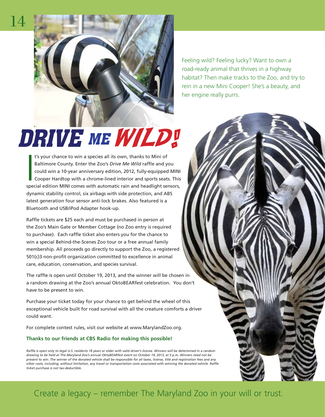

Feeling wild? Feeling lucky? Want to own a road-ready animal that thrives in a highway habitat? Then make tracks to the Zoo, and try to rein in a new Mini Cooper! She's a beauty, and her engine really purrs.

# DRIVE ME WILD!

t's your chance to win a species all its own, thanks to Mini of<br>Baltimore County. Enter the Zoo's *Drive Me Wild* raffle and you<br>could win a 10-year anniversary edition, 2012, fully-equipped MINI<br>Cooper Hardtop with a chro t's your chance to win a species all its own, thanks to Mini of Baltimore County. Enter the Zoo's *Drive Me Wild* raffle and you could win a 10-year anniversary edition, 2012, fully-equipped MINI Cooper Hardtop with a chrome-lined interior and sports seats. This dynamic stability control, six airbags with side protection, and ABS latest generation four sensor anti-lock brakes. Also featured is a Bluetooth and USB/iPod Adapter hook-up.

Raffle tickets are \$25 each and must be purchased in person at the Zoo's Main Gate or Member Cottage (no Zoo entry is required to purchase). Each raffle ticket also enters you for the chance to win a special Behind-the-Scenes Zoo tour or a free annual family membership. All proceeds go directly to support the Zoo, a registered  $501(c)$ 3 non-profit organization committed to excellence in animal care, education, conservation, and species survival.

The raffle is open until October 19, 2013, and the winner will be chosen in a random drawing at the Zoo's annual OktoBEARfest celebration. You don't have to be present to win.

Purchase your ticket today for your chance to get behind the wheel of this exceptional vehicle built for road survival with all the creature comforts a driver could want.

For complete contest rules, visit our website at www.MarylandZoo.org.

# **Thanks to our friends at CBS Radio for making this possible!**

Raffle is open only to legal U.S. residents 18 years or older with valid driver's license. Winners will be determined in a random *drawing to be held at The Maryland Zoo's annual OktoBEARfest event on October 19, 2013, at 3 p.m. Winners need not be present to win. The winner of the donated vehicle shall be responsible for all taxes, license, title and registration fees and any other costs, including, without limitation, any travel or transportation costs associated with winning the donated vehicle. Raffl e ticket purchase is not tax-deductible.*

Create a legacy – remember The Maryland Zoo in your will or trust.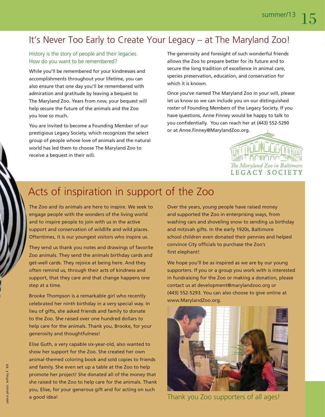# It's Never Too Early to Create Your Legacy – at The Maryland Zoo!

# History is the story of people and their legacies. How do you want to be remembered?

While you'll be remembered for your kindnesses and accomplishments throughout your lifetime, you can also ensure that one day you'll be remembered with admiration and gratitude by leaving a bequest to The Maryland Zoo. Years from now, your bequest will help secure the future of the animals and the Zoo you love so much.

You are invited to become a Founding Member of our prestigious Legacy Society, which recognizes the select group of people whose love of animals and the natural world has led them to choose The Maryland Zoo to receive a bequest in their will.

The generosity and foresight of such wonderful friends allows the Zoo to prepare better for its future and to secure the long tradition of excellence in animal care, species preservation, education, and conservation for which it is known.

Once you've named The Maryland Zoo in your will, please let us know so we can include you on our distinguished roster of Founding Members of the Legacy Society. If you have questions, Anne Finney would be happy to talk to you confidentially. You can reach her at (443) 552-5290 or at Anne.Finney@MarylandZoo.org.



# Acts of inspiration in support of the Zoo

The Zoo and its animals are here to inspire. We seek to engage people with the wonders of the living world and to inspire people to join with us in the active support and conservation of wildlife and wild places. Oftentimes, it is our youngest visitors who inspire us.

They send us thank you notes and drawings of favorite Zoo animals. They send the animals birthday cards and get-well cards. They rejoice at being here. And they often remind us, through their acts of kindness and support, that they care and that change happens one step at a time.

Brooke Thompson is a remarkable girl who recently celebrated her ninth birthday in a very special way. In lieu of gifts, she asked friends and family to donate to the Zoo. She raised over one hundred dollars to help care for the animals. Thank you, Brooke, for your generosity and thoughtfulness!

Elise Guth, a very capable six-year-old, also wanted to show her support for the Zoo. She created her own animal-themed coloring book and sold copies to friends and family. She even set up a table at the Zoo to help promote her project! She donated all of the money that she raised to the Zoo to help care for the animals. Thank you, Elise, for your generous gift and for acting on such a good idea!

Over the years, young people have raised money and supported the Zoo in enterprising ways, from washing cars and shoveling snow to sending us birthday and mitzvah gifts. In the early 1920s, Baltimore school children even donated their pennies and helped convince City officials to purchase the Zoo's first elephant!

We hope you'll be as inspired as we are by our young supporters. If you or a group you work with is interested in fundraising for the Zoo or making a donation, please contact us at development@marylandzoo.org or (443) 552-5293. You can also choose to give online at www.MarylandZoo.org.



Thank you Zoo supporters of all ages!